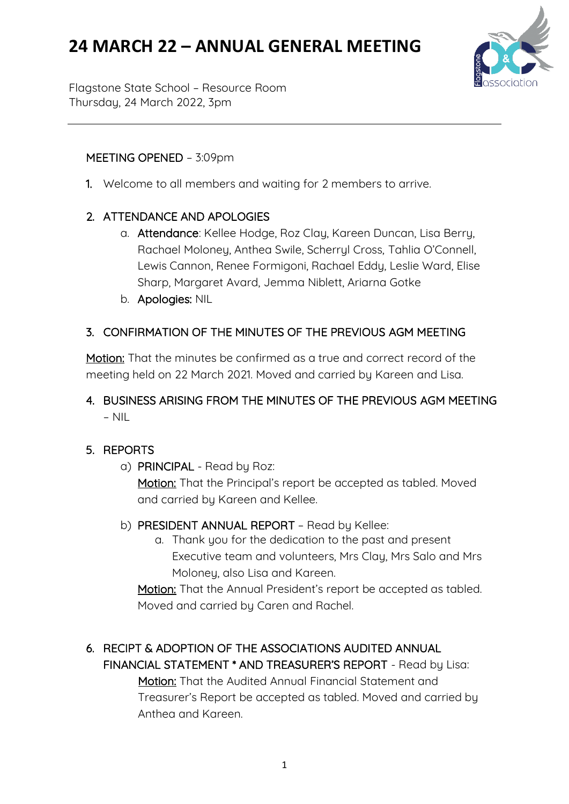# **24 MARCH 22 – ANNUAL GENERAL MEETING**



Flagstone State School – Resource Room Thursday, 24 March 2022, 3pm

#### MEETING OPENED – 3:09pm

1. Welcome to all members and waiting for 2 members to arrive.

## 2. ATTENDANCE AND APOLOGIES

- a. Attendance: Kellee Hodge, Roz Clay, Kareen Duncan, Lisa Berry, Rachael Moloney, Anthea Swile, Scherryl Cross, Tahlia O'Connell, Lewis Cannon, Renee Formigoni, Rachael Eddy, Leslie Ward, Elise Sharp, Margaret Avard, Jemma Niblett, Ariarna Gotke
- b. Apologies: NIL

## 3. CONFIRMATION OF THE MINUTES OF THE PREVIOUS AGM MEETING

Motion: That the minutes be confirmed as a true and correct record of the meeting held on 22 March 2021. Moved and carried by Kareen and Lisa.

## 4. BUSINESS ARISING FROM THE MINUTES OF THE PREVIOUS AGM MEETING – NIL

#### 5. REPORTS

a) PRINCIPAL - Read by Roz:

Motion: That the Principal's report be accepted as tabled. Moved and carried by Kareen and Kellee.

- b) PRESIDENT ANNUAL REPORT Read by Kellee:
	- a. Thank you for the dedication to the past and present Executive team and volunteers, Mrs Clay, Mrs Salo and Mrs Moloney, also Lisa and Kareen.

Motion: That the Annual President's report be accepted as tabled. Moved and carried by Caren and Rachel.

## 6. RECIPT & ADOPTION OF THE ASSOCIATIONS AUDITED ANNUAL FINANCIAL STATEMENT \* AND TREASURER'S REPORT - Read by Lisa:

 Motion: That the Audited Annual Financial Statement and Treasurer's Report be accepted as tabled. Moved and carried by Anthea and Kareen.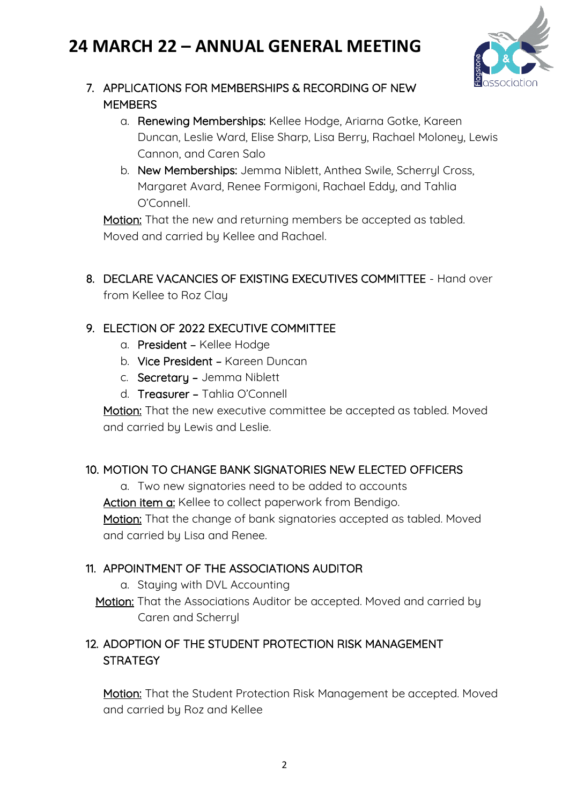# **24 MARCH 22 – ANNUAL GENERAL MEETING**



## 7. APPLICATIONS FOR MEMBERSHIPS & RECORDING OF NEW **MEMBERS**

- a. Renewing Memberships: Kellee Hodge, Ariarna Gotke, Kareen Duncan, Leslie Ward, Elise Sharp, Lisa Berry, Rachael Moloney, Lewis Cannon, and Caren Salo
- b. New Memberships: Jemma Niblett, Anthea Swile, Scherryl Cross, Margaret Avard, Renee Formigoni, Rachael Eddy, and Tahlia O'Connell.

Motion: That the new and returning members be accepted as tabled. Moved and carried by Kellee and Rachael.

8. DECLARE VACANCIES OF EXISTING EXECUTIVES COMMITTEE - Hand over from Kellee to Roz Clay

### 9. ELECTION OF 2022 EXECUTIVE COMMITTEE

- a. President Kellee Hodge
- b. Vice President Kareen Duncan
- c. Secretary Jemma Niblett
- d. Treasurer Tahlia O'Connell

Motion: That the new executive committee be accepted as tabled. Moved and carried by Lewis and Leslie.

#### 10. MOTION TO CHANGE BANK SIGNATORIES NEW ELECTED OFFICERS

a. Two new signatories need to be added to accounts

Action item a: Kellee to collect paperwork from Bendigo.

Motion: That the change of bank signatories accepted as tabled. Moved and carried by Lisa and Renee.

#### 11. APPOINTMENT OF THE ASSOCIATIONS AUDITOR

- a. Staying with DVL Accounting
- Motion: That the Associations Auditor be accepted. Moved and carried by Caren and Scherryl

## 12. ADOPTION OF THE STUDENT PROTECTION RISK MANAGEMENT **STRATEGY**

Motion: That the Student Protection Risk Management be accepted. Moved and carried by Roz and Kellee